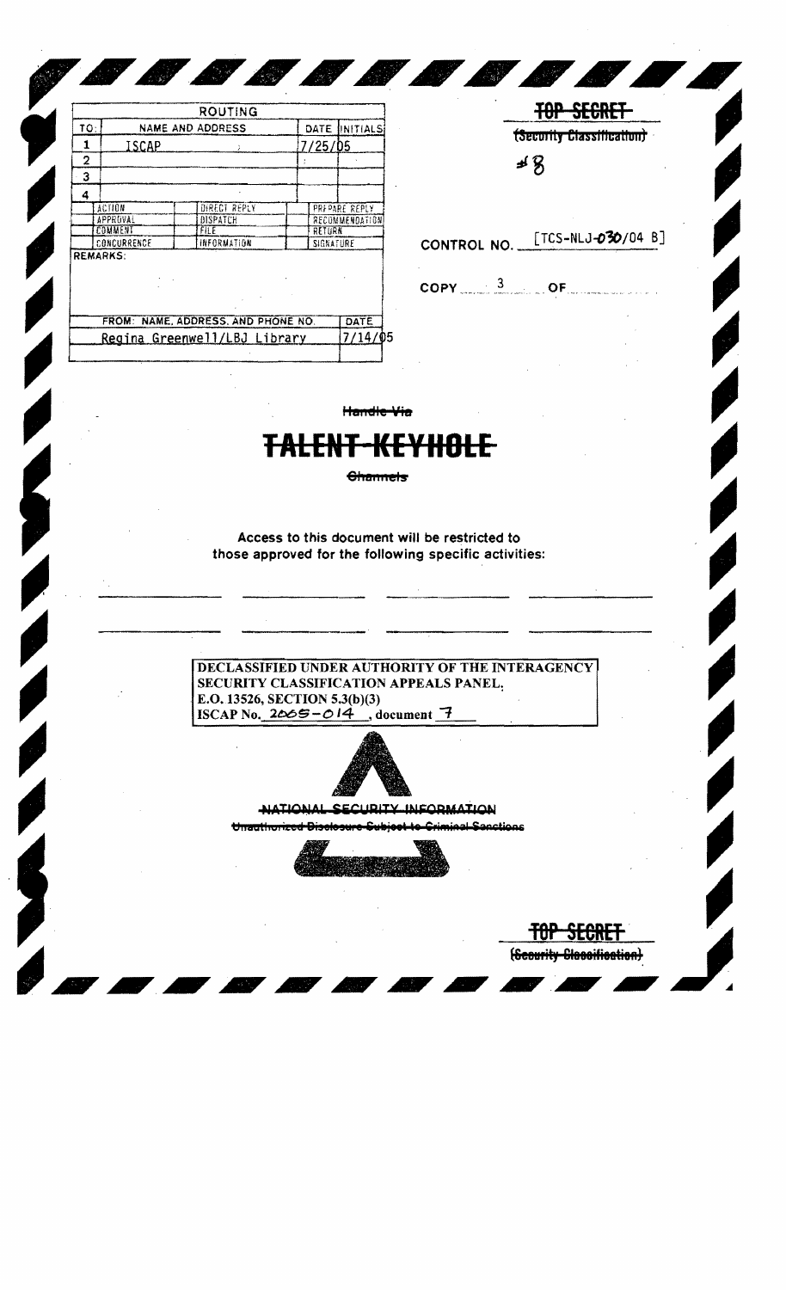|                              |                         | <b>ROUTING</b>                     |  |           |                |  |
|------------------------------|-------------------------|------------------------------------|--|-----------|----------------|--|
| ΤΟ:                          | <b>NAME AND ADDRESS</b> | INITIALS                           |  |           |                |  |
| 1                            | 7/25/05<br>ISCAP        |                                    |  |           |                |  |
| 2                            |                         |                                    |  |           |                |  |
| з                            |                         |                                    |  |           |                |  |
| 4                            |                         |                                    |  |           |                |  |
|                              | ACTION                  | DIRECT REPLY                       |  |           | PRFPARE REPLY  |  |
|                              | APPROVAL                | DISPATCH                           |  |           | RECOMMENDATION |  |
|                              | COMMENT                 | <b>FILE</b>                        |  | RETURN    |                |  |
|                              | CONCURRENCE             | INFORMATION                        |  | SIGNATURE |                |  |
|                              | <b>REMARKS:</b>         |                                    |  |           |                |  |
|                              |                         | FROM: NAME, ADDRESS, AND PHONE NO. |  |           | DATE           |  |
| Regina Greenwell/LBJ Library |                         |                                    |  |           |                |  |

**BOOK** 

| ৰ প্ৰ |  |                                                |  |  |  |  |
|-------|--|------------------------------------------------|--|--|--|--|
|       |  | CONTROL NO. [TCS-NLJ-030/04 B]                 |  |  |  |  |
|       |  | $\mathsf{COPY} = \frac{3}{2}$ of $\mathsf{OF}$ |  |  |  |  |
|       |  |                                                |  |  |  |  |

**TOP SECRET** 

(Secority Classification)

JELHIFF

(Scourity Classification)

тп

**CONSTRUCTION** 

Handle Via

## <del>KEYHOLE</del> **+ALLN**

**Channels** 

Access to this document will be restricted to those approved for the following specific activities:

DECLASSIFIED UNDER AUTHORITY OF THE INTERAGENCY SECURITY CLASSIFICATION APPEALS PANEL, E.O. 13526, SECTION 5.3(b)(3) ISCAP No.  $2065 - 014$ , document 7



NATIONAL SECURITY INFORMATION

Unauthorized Disclosure Sub Criminal Canctions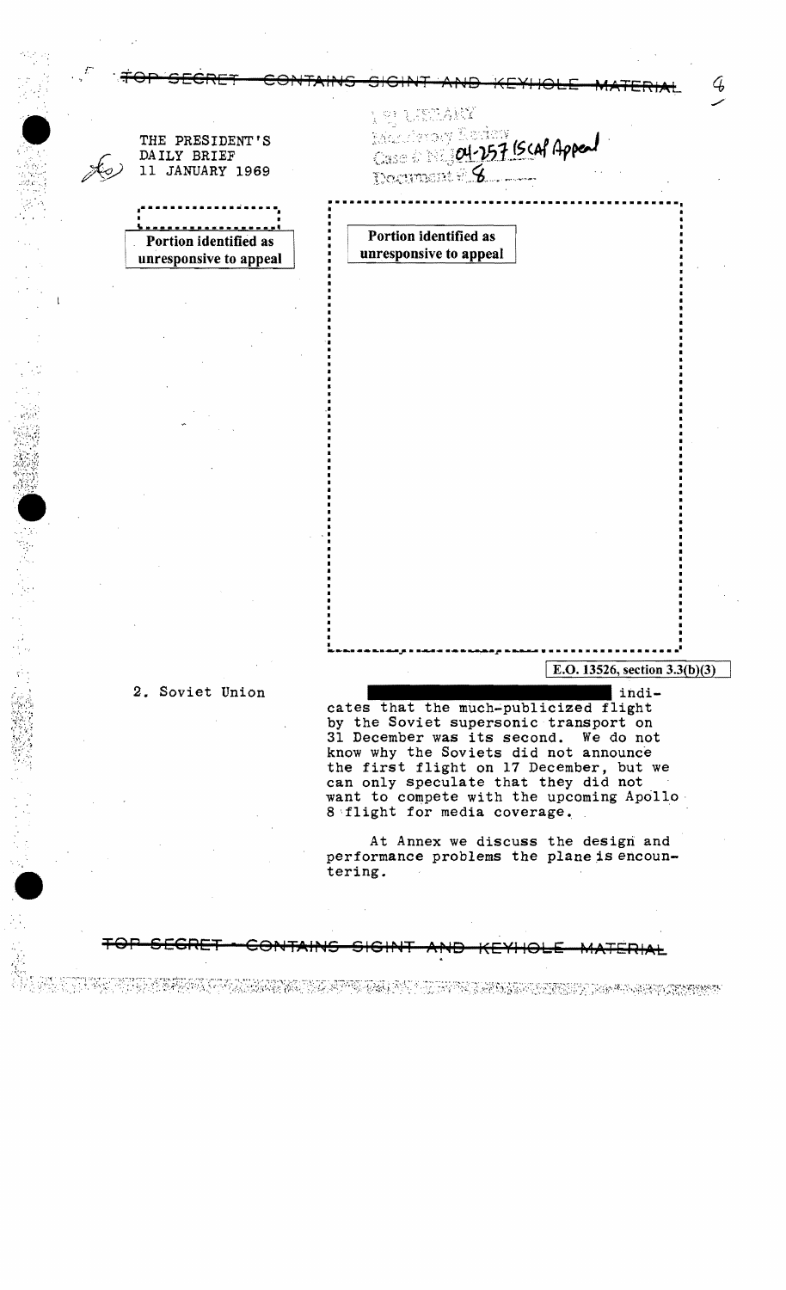t. Kritisk kr Michardy Rodery THE PRESIDENT'S Case of 04-257 BCAP Appeal DAILY BRIEF 11 JANUARY 1969 Portion identified as Portion identified as unresponsive to appeal unresponsive to appeal E.O. 13526, section 3.3(b)(3) 2. Soviet Union indi-

38

cates that the much-publicized flight by the Soviet supersonic transport on<br>31 December was its second. We do not know why the Soviets did not announce the first flight on 17 December, but we can only speculate that they did not want to compete with the upcoming Apollo. 8 flight for media coverage.

At Annex we discuss the design and performance problems the plane is encountering.

I DA SABABI KUMUM MANASI YA MATA TA KATA MATA MATA NA MATA WA TA MATA NA MATA TA TA TA TA TA TA TA TA TA TA TA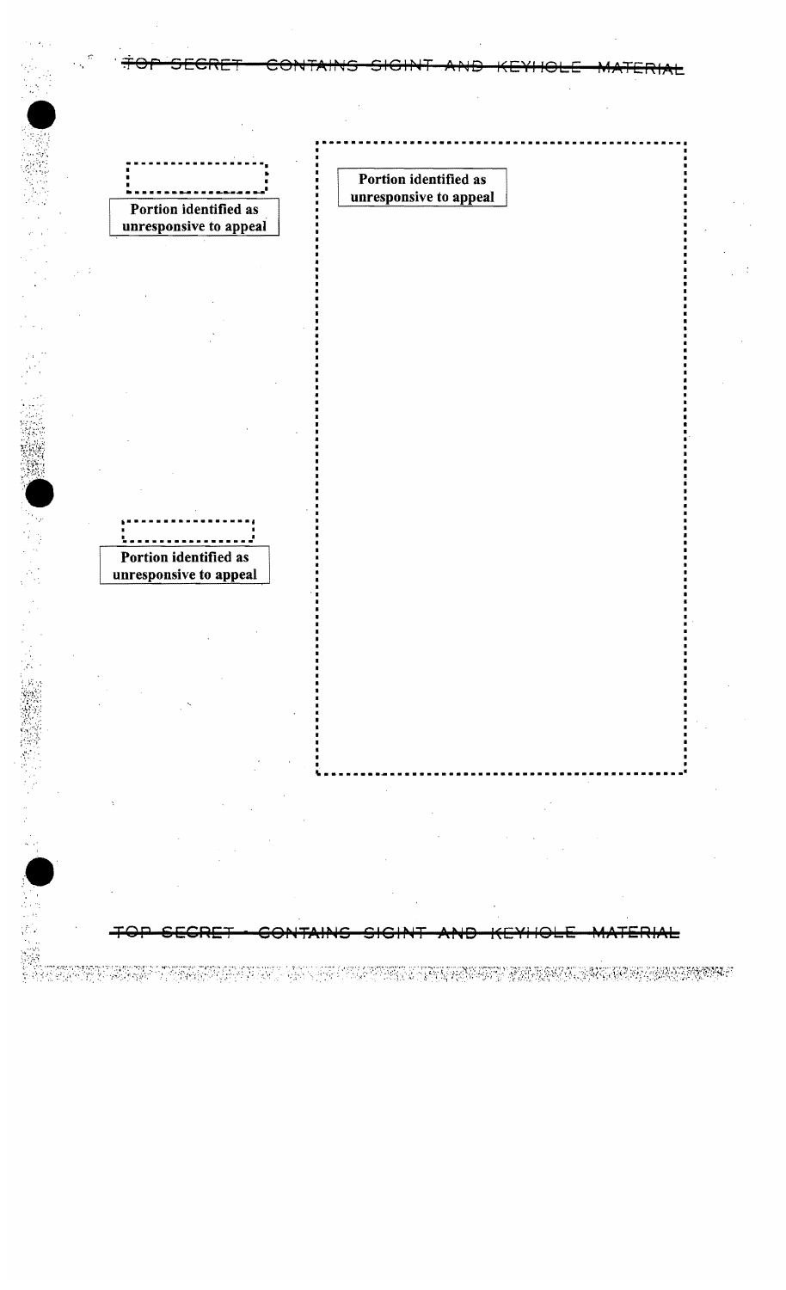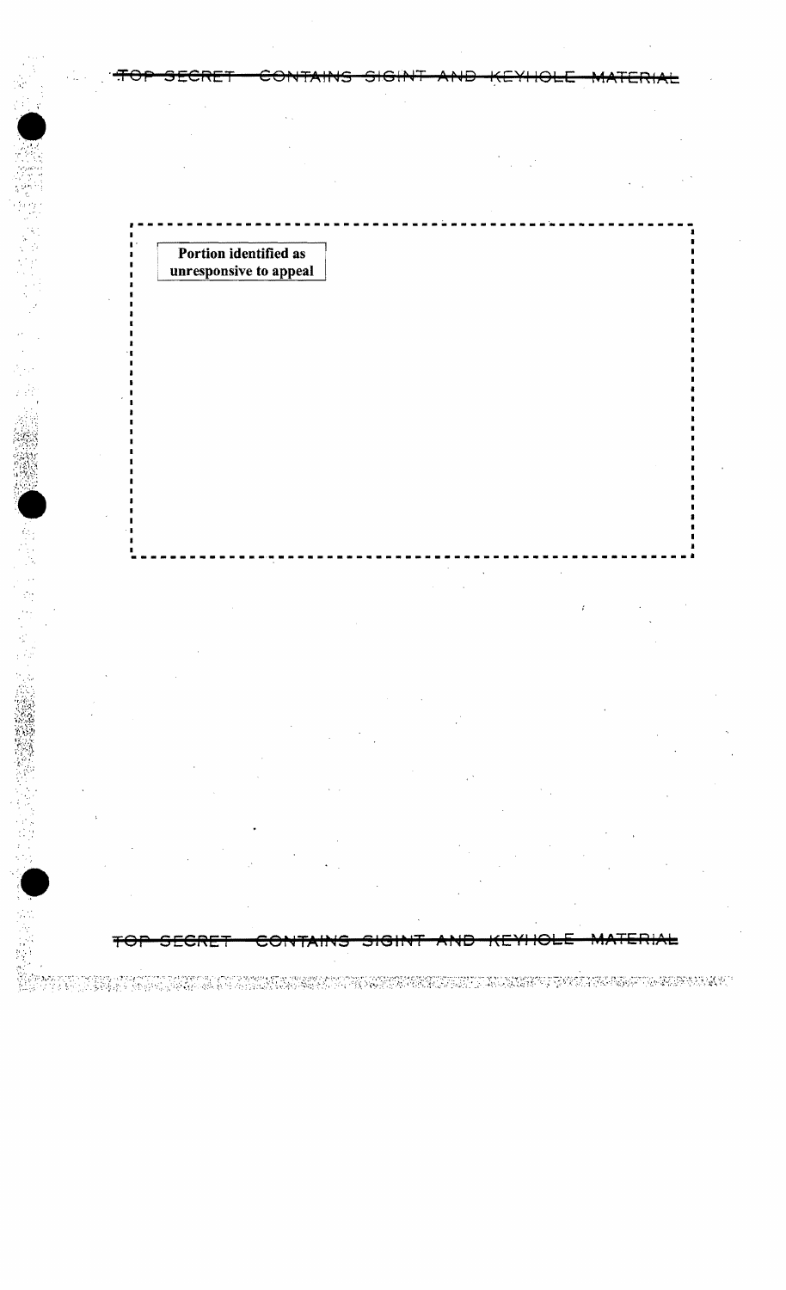